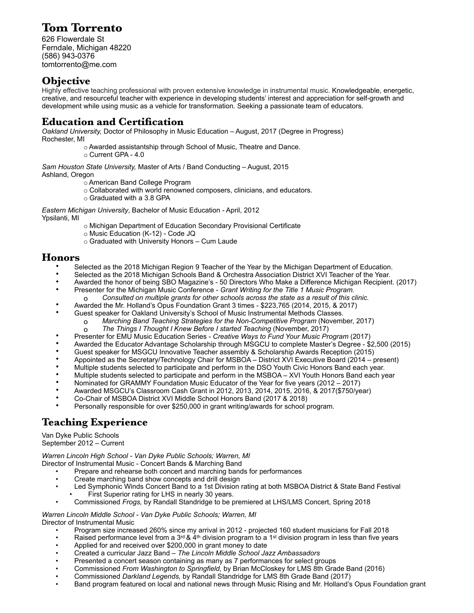# **Tom Torrento**

626 Flowerdale St Ferndale, Michigan 48220 (586) 943-0376 tomtorrento@me.com

## **Objective**

Highly effective teaching professional with proven extensive knowledge in instrumental music. Knowledgeable, energetic, creative, and resourceful teacher with experience in developing students' interest and appreciation for self-growth and development while using music as a vehicle for transformation*.* Seeking a passionate team of educators.

# **Education and Certification**

*Oakland University,* Doctor of Philosophy in Music Education – August, 2017 (Degree in Progress) Rochester, MI

o Awarded assistantship through School of Music, Theatre and Dance.

o Current GPA - 4.0

*Sam Houston State University,* Master of Arts / Band Conducting – August, 2015 Ashland, Oregon

o American Band College Program

- o Collaborated with world renowned composers, clinicians, and educators.
- o Graduated with a 3.8 GPA

*Eastern Michigan University*, Bachelor of Music Education - April, 2012 Ypsilanti, MI

- o Michigan Department of Education Secondary Provisional Certificate
- o Music Education (K-12) Code JQ
- o Graduated with University Honors Cum Laude

#### **Honors**

- Selected as the 2018 Michigan Region 9 Teacher of the Year by the Michigan Department of Education.
- Selected as the 2018 Michigan Schools Band & Orchestra Association District XVI Teacher of the Year.
- Awarded the honor of being SBO Magazine's 50 Directors Who Make a Difference Michigan Recipient. (2017)
- Presenter for the Michigan Music Conference *Grant Writing for the Title 1 Music Program.* 
	- o *Consulted on multiple grants for other schools across the state as a result of this clinic.*
- Awarded the Mr. Holland's Opus Foundation Grant 3 times \$223,765 (2014, 2015, & 2017)
	- Guest speaker for Oakland University's School of Music Instrumental Methods Classes.
		- o *Marching Band Teaching Strategies for the Non-Competitive Program* (November, 2017)
			- o *The Things I Thought I Knew Before I started Teaching* (November, 2017)
- Presenter for EMU Music Education Series *Creative Ways to Fund Your Music Program* (2017)
- Awarded the Educator Advantage Scholarship through MSGCU to complete Master's Degree \$2,500 (2015)
- Guest speaker for MSGCU Innovative Teacher assembly & Scholarship Awards Reception (2015)
- Appointed as the Secretary/Technology Chair for MSBOA District XVI Executive Board (2014 present)
- Multiple students selected to participate and perform in the DSO Youth Civic Honors Band each year.
- Multiple students selected to participate and perform in the MSBOA XVI Youth Honors Band each year
- Nominated for GRAMMY Foundation Music Educator of the Year for five years (2012 2017)
- Awarded MSGCU's Classroom Cash Grant in 2012, 2013, 2014, 2015, 2016, & 2017(\$750/year)
- Co-Chair of MSBOA District XVI Middle School Honors Band (2017 & 2018)
- Personally responsible for over \$250,000 in grant writing/awards for school program.

# **Teaching Experience**

Van Dyke Public Schools

September 2012 – Current

*Warren Lincoln High School - Van Dyke Public Schools; Warren, MI* 

Director of Instrumental Music - Concert Bands & Marching Band

- Prepare and rehearse both concert and marching bands for performances
- Create marching band show concepts and drill design
- Led Symphonic Winds Concert Band to a 1st Division rating at both MSBOA District & State Band Festival First Superior rating for LHS in nearly 30 years.
- Commissioned *Frogs,* by Randall Standridge to be premiered at LHS/LMS Concert, Spring 2018

*Warren Lincoln Middle School - Van Dyke Public Schools; Warren, MI*  Director of Instrumental Music

- Program size increased 260% since my arrival in 2012 projected 160 student musicians for Fall 2018
- Raised performance level from a 3<sup>rd</sup> & 4<sup>th</sup> division program to a 1<sup>st</sup> division program in less than five years
- Applied for and received over \$200,000 in grant money to date
- Created a curricular Jazz Band *The Lincoln Middle School Jazz Ambassadors*
- Presented a concert season containing as many as 7 performances for select groups
- Commissioned *From Washington to Springfield,* by Brian McCloskey for LMS 8th Grade Band (2016)
- Commissioned *Darkland Legends,* by Randall Standridge for LMS 8th Grade Band (2017)
- Band program featured on local and national news through Music Rising and Mr. Holland's Opus Foundation grant